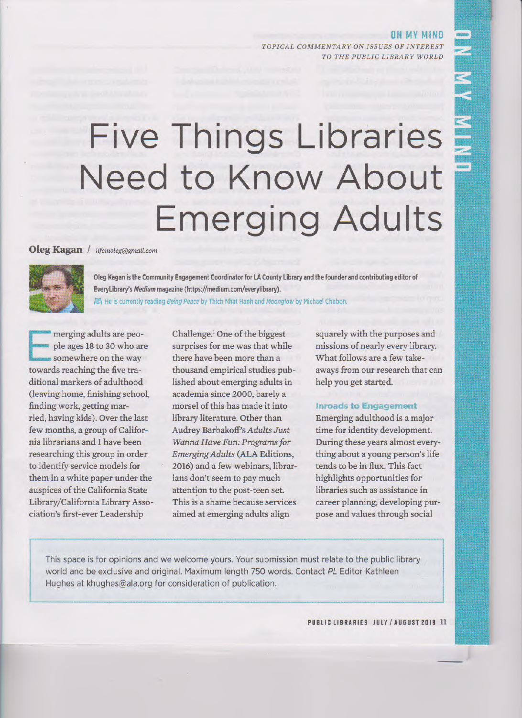**ON MY MIND**  *TOPICAL COMMENTARY ON ISSUES OF INTEREST TO THE PUBLIC LIBRARY WORLD* 

# **Five Things Libraries Need to Know About Emerging Adults**

# **Oleg Kagan** *I lifeinoleg@grnail.com*



**Oleg Kagan is the Community Engagement Coordinator for LA County Library and the founder and contributing editor of EveryLibrary's** *Medium* **magazine (https://medium.com/everylibrary).**  图 He is currently reading Being Peace by Thich Nhat Hanh and Moonglow by Michael Chabon.

**E** merging adults are people ages 18 to 30 who are somewhere on the way towards reaching the five traditional markers of adulthood (leaving home, finishing school, finding work, getting married, having kids). Over the last few months, a group of California librarians and I have been researching this group in order to identify service models for them in a white paper under the auspices of the California State Library/California Library Association's first-ever Leadership

Challenge.' One of the biggest surprises for me was that while there have been more than a thousand empirical studies published about emerging adults in academia since 2000, barely a morsel of this has made it into library literature. Other than Audrey Barbakoff's *Adults Just Wanna Have Fun: Programs for Emerging Adults* (ALA Editions, 2016) and a few webinars, librarians don't seem to pay much attention to the post-teen set. This is a shame because services aimed at emerging adults align

squarely with the purposes and missions of nearly every library. What follows are a few takeaways from our research that can help you get started.

#### **inroads to Engagement**

Emerging adulthood is a major time for identity development. During these years almost everything about a young person's life tends to be in flux. This fact highlights opportunities for libraries such as assistance in career planning; developing purpose and values through social

This space is for opinions and we welcome yours. Your submission must relate to the public library world and be exclusive and original. Maximum length 750 words. Contact *PL* Editor Kathleen Hughes at khughes@ala.org for consideration of publication.

**PUBLIC LIBRARIES JULY / AUGUST 2019 11**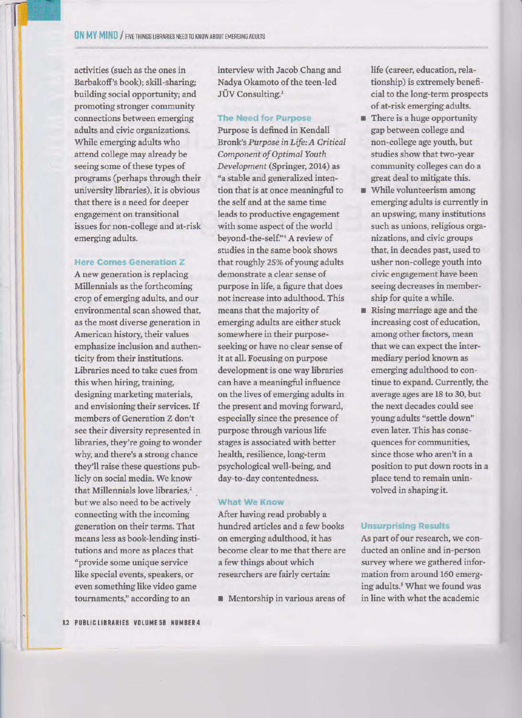activities (such as the ones in Barbakoff's book); skill-sharing; building social opportunity; and promoting stronger community connections between emerging adults and civic organizations. While emerging adults who attend college may already be seeing some of these types of programs (perhaps through their university libraries), it is obvious that there is a need for deeper engagement on transitional issues for non-college and at-risk emerging adults.

#### **Here Comes Generation Z**

A new generation is replacing Millennials as the forthcoming crop of emerging adults, and our environmental scan showed that, as the most diverse generation in American history, their values emphasize inclusion and authenticity from their institutions. Libraries need to take cues from this when hiring, training, designing marketing materials, and envisioning their services. If members of Generation Z don't see their diversity represented in libraries, they're going to wonder why, and there's a strong chance they'll raise these questions publicly on social media. We know that Millennials love libraries,<sup>2</sup> but we also need to be actively connecting with the incoming generation on their terms. That means less as book-lending institutions and more as places that "provide some unique service like special events, speakers, or even something like video game tournaments," according to an

interview with Jacob Chang and Nadya Okamoto of the teen-led JÜV Consulting.<sup>3</sup>

#### The Need for Purpose

Purpose is defined in Kendall Bronk's *Purpose in Life: A Critical Component of Optimal Youth Development* (Springer, 2014) as "a stable and generalized intention that is at once meaningful to the self and at the same time leads to productive engagement with some aspect of the world beyond-the-self."4A review of studies in the same book shows that roughly 25% of young adults demonstrate a clear sense of purpose in life, a figure that does not increase into adulthood. This means that the majority of emerging adults are either stuck somewhere in their purposeseeking or have no clear sense of it at all. Focusing on purpose development is one way libraries can have a meaningful influence on the lives of emerging adults in the present and moving forward, especially since the presence of purpose through various life stages is associated with better health, resilience, long-term psychological well-being, and day-to-day contentedness.

#### **What We Know**

After having read probably a hundred articles and a few books on emerging adulthood, it has become clear to me that there are a few things about which researchers are fairly certain:

■ Mentorship in various areas of

life (career, education, relationship) is extremely beneficial to the long-term prospects of at-risk emerging adults.

- There is a huge opportunity gap between college and non-college age youth, but studies show that two-year community colleges can do a great deal to mitigate this.
- While volunteerism among emerging adults is currently in an upswing, many institutions such as unions, religious organizations, and civic groups that, in decades past, used to usher non-college youth into civic engagement have been seeing decreases in membership for quite a while.
- Rising marriage age and the increasing cost of education, among other factors, mean that we can expect the intermediary period known as emerging adulthood to continue to expand. Currently, the average ages are 18 to 30, but the next decades could see young adults "settle down" even later. This has consequences for communities, since those who aren't in a position to put down roots in a place tend to remain uninvolved in shaping it.

## **Unsurprising Results**

As part of our research, we conducted an online and in-person survey where we gathered information from around 160 emerging adults.' What we found was in line with what the academic